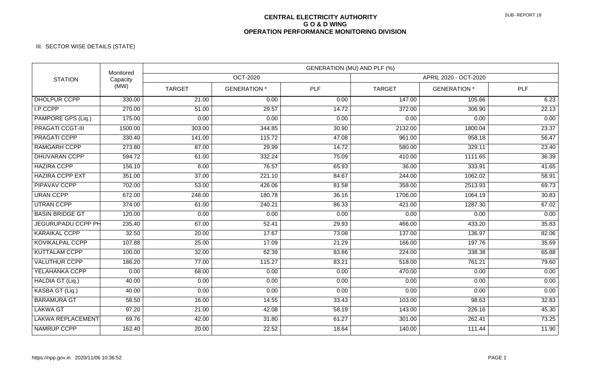## **CENTRAL ELECTRICITY AUTHORITY G O & D WING OPERATION PERFORMANCE MONITORING DIVISION**

## III. SECTOR WISE DETAILS (STATE)

| <b>STATION</b>            | Monitored<br>Capacity<br>(MW) | GENERATION (MU) AND PLF (%) |                     |            |                       |                     |            |  |
|---------------------------|-------------------------------|-----------------------------|---------------------|------------|-----------------------|---------------------|------------|--|
|                           |                               | OCT-2020                    |                     |            | APRIL 2020 - OCT-2020 |                     |            |  |
|                           |                               | <b>TARGET</b>               | <b>GENERATION *</b> | <b>PLF</b> | <b>TARGET</b>         | <b>GENERATION</b> * | <b>PLF</b> |  |
| <b>DHOLPUR CCPP</b>       | 330.00                        | $\overline{21.00}$          | 0.00                | 0.00       | 147.00                | 105.66              | 6.23       |  |
| I.P.CCPP                  | 270.00                        | 51.00                       | 29.57               | 14.72      | 372.00                | 306.90              | 22.13      |  |
| PAMPORE GPS (Liq.)        | 175.00                        | 0.00                        | 0.00                | 0.00       | 0.00                  | 0.00                | 0.00       |  |
| <b>PRAGATI CCGT-III</b>   | 1500.00                       | 303.00                      | 344.85              | 30.90      | 2132.00               | 1800.04             | 23.37      |  |
| <b>PRAGATI CCPP</b>       | 330.40                        | 141.00                      | 115.72              | 47.08      | 961.00                | 958.18              | 56.47      |  |
| <b>RAMGARH CCPP</b>       | 273.80                        | 87.00                       | 29.99               | 14.72      | 580.00                | 329.11              | 23.40      |  |
| <b>DHUVARAN CCPP</b>      | 594.72                        | 61.00                       | 332.24              | 75.09      | 410.00                | 1111.65             | 36.39      |  |
| <b>HAZIRA CCPP</b>        | 156.10                        | 6.00                        | 76.57               | 65.93      | 36.00                 | 333.91              | 41.65      |  |
| <b>HAZIRA CCPP EXT</b>    | 351.00                        | 37.00                       | 221.10              | 84.67      | 244.00                | 1062.02             | 58.91      |  |
| <b>PIPAVAV CCPP</b>       | 702.00                        | 53.00                       | 426.06              | 81.58      | 358.00                | 2513.93             | 69.73      |  |
| <b>URAN CCPP</b>          | 672.00                        | 248.00                      | 180.78              | 36.16      | 1706.00               | 1064.19             | 30.83      |  |
| <b>UTRAN CCPP</b>         | 374.00                        | 61.00                       | 240.21              | 86.33      | 421.00                | 1287.30             | 67.02      |  |
| <b>BASIN BRIDGE GT</b>    | 120.00                        | 0.00                        | 0.00                | 0.00       | 0.00                  | 0.00                | 0.00       |  |
| <b>JEGURUPADU CCPP PH</b> | 235.40                        | 67.00                       | 52.41               | 29.93      | 466.00                | 433.20              | 35.83      |  |
| <b>KARAIKAL CCPP</b>      | 32.50                         | 20.00                       | 17.67               | 73.08      | 137.00                | 136.97              | 82.06      |  |
| KOVIKALPAL CCPP           | 107.88                        | 25.00                       | 17.09               | 21.29      | 166.00                | 197.76              | 35.69      |  |
| <b>KUTTALAM CCPP</b>      | 100.00                        | 32.00                       | 62.39               | 83.86      | 224.00                | 338.38              | 65.88      |  |
| <b>VALUTHUR CCPP</b>      | 186.20                        | 77.00                       | 115.27              | 83.21      | 518.00                | 761.21              | 79.60      |  |
| YELAHANKA CCPP            | 0.00                          | 68.00                       | 0.00                | 0.00       | 470.00                | 0.00                | 0.00       |  |
| HALDIA GT (Liq.)          | 40.00                         | 0.00                        | 0.00                | 0.00       | 0.00                  | 0.00                | 0.00       |  |
| KASBA GT (Liq.)           | 40.00                         | 0.00                        | 0.00                | 0.00       | 0.00                  | 0.00                | 0.00       |  |
| <b>BARAMURA GT</b>        | 58.50                         | 16.00                       | 14.55               | 33.43      | 103.00                | 98.63               | 32.83      |  |
| <b>LAKWA GT</b>           | 97.20                         | 21.00                       | 42.08               | 58.19      | 143.00                | 226.16              | 45.30      |  |
| <b>LAKWA REPLACEMENT</b>  | 69.76                         | 42.00                       | 31.80               | 61.27      | 301.00                | 262.41              | 73.25      |  |
| <b>NAMRUP CCPP</b>        | 162.40                        | 20.00                       | 22.52               | 18.64      | 140.00                | 111.44              | 11.90      |  |